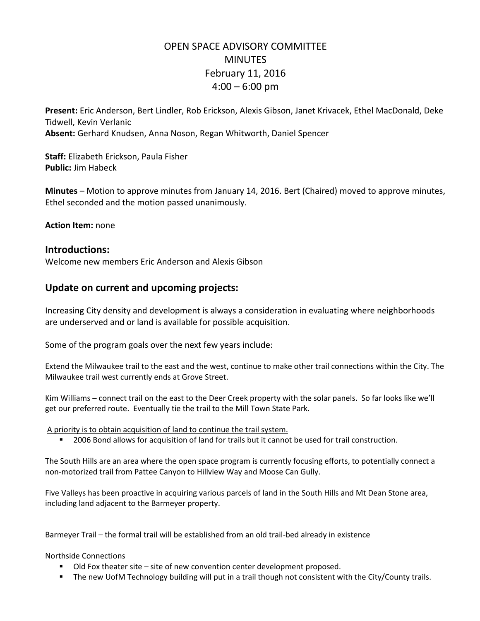## OPEN SPACE ADVISORY COMMITTEE **MINUTES** February 11, 2016  $4:00 - 6:00$  pm

**Present:** Eric Anderson, Bert Lindler, Rob Erickson, Alexis Gibson, Janet Krivacek, Ethel MacDonald, Deke Tidwell, Kevin Verlanic **Absent:** Gerhard Knudsen, Anna Noson, Regan Whitworth, Daniel Spencer

**Staff:** Elizabeth Erickson, Paula Fisher **Public:** Jim Habeck

**Minutes** – Motion to approve minutes from January 14, 2016. Bert (Chaired) moved to approve minutes, Ethel seconded and the motion passed unanimously.

**Action Item:** none

## **Introductions:**

Welcome new members Eric Anderson and Alexis Gibson

## **Update on current and upcoming projects:**

Increasing City density and development is always a consideration in evaluating where neighborhoods are underserved and or land is available for possible acquisition.

Some of the program goals over the next few years include:

Extend the Milwaukee trail to the east and the west, continue to make other trail connections within the City. The Milwaukee trail west currently ends at Grove Street.

Kim Williams – connect trail on the east to the Deer Creek property with the solar panels. So far looks like we'll get our preferred route. Eventually tie the trail to the Mill Town State Park.

A priority is to obtain acquisition of land to continue the trail system.

**2006 Bond allows for acquisition of land for trails but it cannot be used for trail construction.** 

The South Hills are an area where the open space program is currently focusing efforts, to potentially connect a non-motorized trail from Pattee Canyon to Hillview Way and Moose Can Gully.

Five Valleys has been proactive in acquiring various parcels of land in the South Hills and Mt Dean Stone area, including land adjacent to the Barmeyer property.

Barmeyer Trail – the formal trail will be established from an old trail-bed already in existence

Northside Connections

- Old Fox theater site site of new convention center development proposed.
- **The new UofM Technology building will put in a trail though not consistent with the City/County trails.**